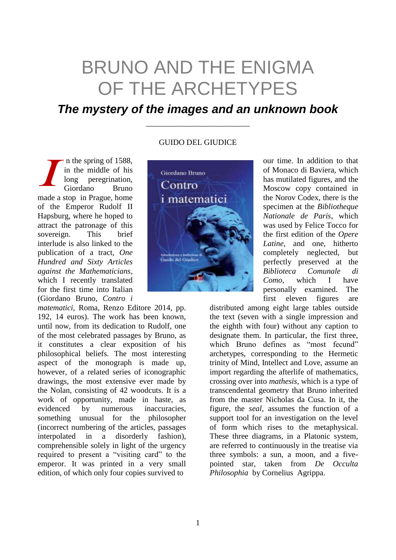## BRUNO AND THE ENIGMA OF THE ARCHETYPES

## *The mystery of the images and an unknown book*

\_\_\_\_\_\_\_\_\_\_\_\_\_\_\_\_\_\_\_\_\_\_\_\_\_\_

n the spring of 1588, in the middle of his long peregrination, Giordano Bruno made a stop in Prague, home of the Emperor Rudolf II Hapsburg, where he hoped to attract the patronage of this sovereign. This brief interlude is also linked to the publication of a tract, *One Hundred and Sixty Articles against the Mathematicians,*  which I recently translated for the first time into Italian (Giordano Bruno, *Contro i*  I

*matematici,* Roma, Renzo Editore 2014, pp. 192, 14 euros). The work has been known, until now, from its dedication to Rudolf, one of the most celebrated passages by Bruno, as it constitutes a clear exposition of his philosophical beliefs. The most interesting aspect of the monograph is made up, however, of a related series of iconographic drawings, the most extensive ever made by the Nolan, consisting of 42 woodcuts. It is a work of opportunity, made in haste, as evidenced by numerous inaccuracies, something unusual for the philosopher (incorrect numbering of the articles, passages interpolated in a disorderly fashion), comprehensible solely in light of the urgency required to present a "visiting card" to the emperor. It was printed in a very small edition, of which only four copies survived to

## GUIDO DEL GIUDICE



our time. In addition to that of Monaco di Baviera, which has mutilated figures, and the Moscow copy contained in the Norov Codex, there is the specimen at the *Bibliotheque Nationale de Paris*, which was used by Felice Tocco for the first edition of the *Opere Latine*, and one, hitherto completely neglected, but perfectly preserved at the *Biblioteca Comunale di Como*, which I have personally examined. The first eleven figures are

distributed among eight large tables outside the text (seven with a single impression and the eighth with four) without any caption to designate them. In particular, the first three, which Bruno defines as "most fecund" archetypes, corresponding to the Hermetic trinity of Mind, Intellect and Love, assume an import regarding the afterlife of mathematics, crossing over into *mathesis*, which is a type of transcendental geometry that Bruno inherited from the master Nicholas da Cusa. In it, the figure, the *seal*, assumes the function of a support tool for an investigation on the level of form which rises to the metaphysical. These three diagrams, in a Platonic system, are referred to continuously in the treatise via three symbols: a sun, a moon, and a fivepointed star, taken from *De Occulta Philosophia* by Cornelius Agrippa.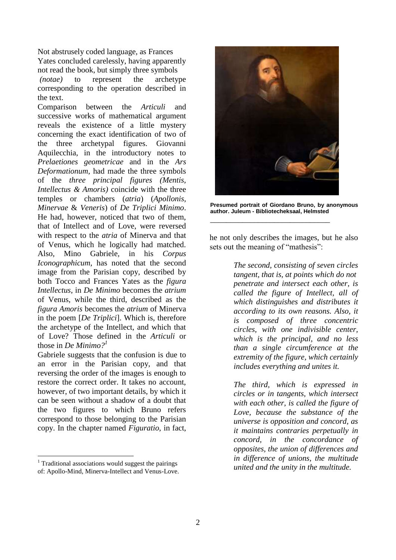Not abstrusely coded language, as Frances Yates concluded carelessly, having apparently not read the book, but simply three symbols *(notae)* to represent the archetype corresponding to the operation described in

the text. Comparison between the *Articuli* and successive works of mathematical argument reveals the existence of a little mystery concerning the exact identification of two of the three archetypal figures. Giovanni Aquilecchia, in the introductory notes to *Prelaetiones geometricae* and in the *Ars Deformationum*, had made the three symbols of the *three principal figures (Mentis, Intellectus & Amoris)* coincide with the three temples or chambers (*atria*) (*Apollonis, Minervae* & *Veneris*) of *De Triplici Minimo*. He had, however, noticed that two of them, that of Intellect and of Love, were reversed with respect to the *atria* of Minerva and that of Venus, which he logically had matched. Also, Mino Gabriele, in his *Corpus Iconographicum*, has noted that the second image from the Parisian copy, described by both Tocco and Frances Yates as the *figura Intellectus*, in *De Minimo* becomes the *atrium*  of Venus, while the third, described as the *figura Amoris* becomes the *atrium* of Minerva in the poem [*De Triplici*]. Which is, therefore the archetype of the Intellect, and which that of Love? Those defined in the *Articuli* or those in *De Minimo?<sup>1</sup>*

Gabriele suggests that the confusion is due to an error in the Parisian copy, and that reversing the order of the images is enough to restore the correct order. It takes no account, however, of two important details, by which it can be seen without a shadow of a doubt that the two figures to which Bruno refers correspond to those belonging to the Parisian copy. In the chapter named *Figuratio,* in fact,

 $1$  Traditional associations would suggest the pairings of: Apollo-Mind, Minerva-Intellect and Venus-Love.

1



**Presumed portrait of Giordano Bruno, by anonymous author. Juleum - Bibliotecheksaal, Helmsted**

\_\_\_\_\_\_\_\_\_\_\_\_\_\_\_\_\_\_\_\_\_\_\_\_\_\_\_\_\_\_

he not only describes the images, but he also sets out the meaning of "mathesis":

> *The second, consisting of seven circles tangent, that is, at points which do not penetrate and intersect each other, is called the figure of Intellect, all of which distinguishes and distributes it according to its own reasons. Also, it is composed of three concentric circles, with one indivisible center, which is the principal, and no less than a single circumference at the extremity of the figure, which certainly includes everything and unites it.*

> *The third, which is expressed in circles or in tangents, which intersect with each other, is called the figure of Love, because the substance of the universe is opposition and concord, as it maintains contraries perpetually in concord, in the concordance of opposites, the union of differences and in difference of unions, the multitude united and the unity in the multitude.*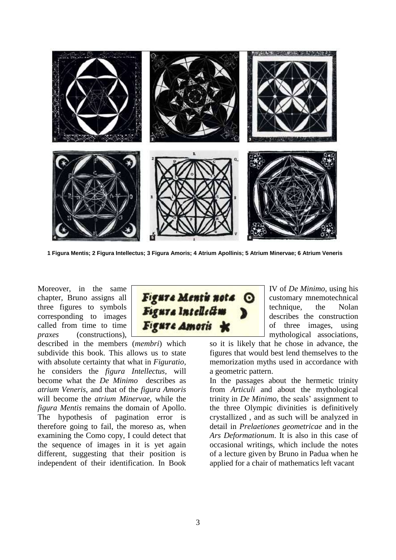

**1 Figura Mentis; 2 Figura Intellectus; 3 Figura Amoris; 4 Atrium Apollinis; 5 Atrium Minervae; 6 Atrium Veneris**

Moreover, in the same chapter, Bruno assigns all three figures to symbols corresponding to images called from time to time *praxes* (constructions),

described in the members (*membri*) which subdivide this book. This allows us to state with absolute certainty that what in *Figuratio,*  he considers the *figura Intellectus,* will become what the *De Minimo* describes as *atrium Veneris,* and that of the *figura Amoris* will become the *atrium Minervae,* while the *figura Mentis* remains the domain of Apollo. The hypothesis of pagination error is therefore going to fail, the moreso as, when examining the Como copy, I could detect that the sequence of images in it is yet again different, suggesting that their position is independent of their identification. In Book



IV of *De Minimo,* using his customary mnemotechnical technique, the Nolan describes the construction of three images, using mythological associations,

so it is likely that he chose in advance, the figures that would best lend themselves to the memorization myths used in accordance with a geometric pattern.

In the passages about the hermetic trinity from *Articuli* and about the mythological trinity in *De Minimo,* the seals' assignment to the three Olympic divinities is definitively crystallized , and as such will be analyzed in detail in *Prelaetiones geometricae* and in the *Ars Deformationum*. It is also in this case of occasional writings, which include the notes of a lecture given by Bruno in Padua when he applied for a chair of mathematics left vacant